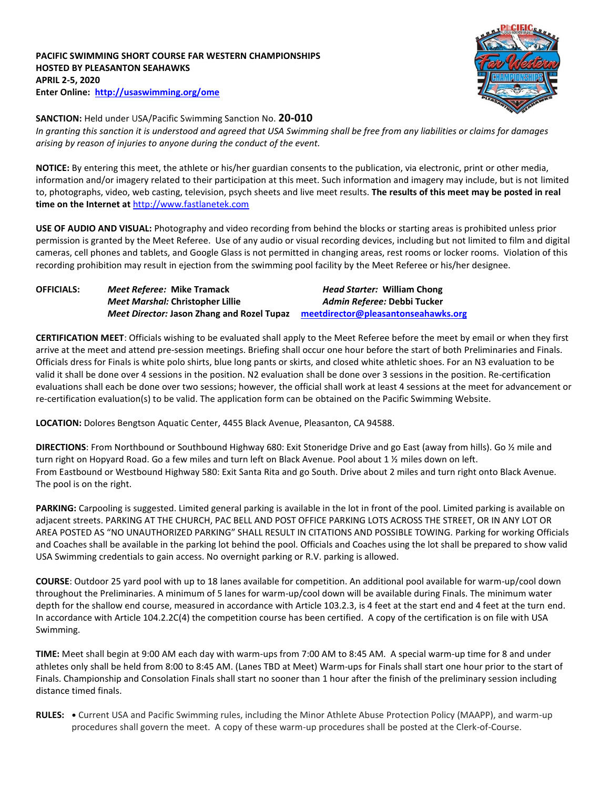**PACIFIC SWIMMING SHORT COURSE FAR WESTERN CHAMPIONSHIPS HOSTED BY PLEASANTON SEAHAWKS APRIL 2-5, 2020 Enter Online: <http://usaswimming.org/ome>**



**SANCTION:** Held under USA/Pacific Swimming Sanction No. **20-010** *In granting this sanction it is understood and agreed that USA Swimming shall be free from any liabilities or claims for damages arising by reason of injuries to anyone during the conduct of the event.*

**NOTICE:** By entering this meet, the athlete or his/her guardian consents to the publication, via electronic, print or other media, information and/or imagery related to their participation at this meet. Such information and imagery may include, but is not limited to, photographs, video, web casting, television, psych sheets and live meet results. **The results of this meet may be posted in real time on the Internet at** [http://www.fastlanetek.com](http://www.fastlanetek.com/)

**USE OF AUDIO AND VISUAL:** Photography and video recording from behind the blocks or starting areas is prohibited unless prior permission is granted by the Meet Referee. Use of any audio or visual recording devices, including but not limited to film and digital cameras, cell phones and tablets, and Google Glass is not permitted in changing areas, rest rooms or locker rooms. Violation of this recording prohibition may result in ejection from the swimming pool facility by the Meet Referee or his/her designee.

| <b>OFFICIALS:</b> | Meet Referee: Mike Tramack                        | <b>Head Starter: William Chong</b>  |
|-------------------|---------------------------------------------------|-------------------------------------|
|                   | Meet Marshal: Christopher Lillie                  | Admin Referee: Debbi Tucker         |
|                   | <i>Meet Director: Jason Zhang and Rozel Tupaz</i> | meetdirector@pleasantonseahawks.org |

**CERTIFICATION MEET**: Officials wishing to be evaluated shall apply to the Meet Referee before the meet by email or when they first arrive at the meet and attend pre-session meetings. Briefing shall occur one hour before the start of both Preliminaries and Finals. Officials dress for Finals is white polo shirts, blue long pants or skirts, and closed white athletic shoes. For an N3 evaluation to be valid it shall be done over 4 sessions in the position. N2 evaluation shall be done over 3 sessions in the position. Re-certification evaluations shall each be done over two sessions; however, the official shall work at least 4 sessions at the meet for advancement or re-certification evaluation(s) to be valid. The application form can be obtained on the Pacific Swimming Website.

**LOCATION:** Dolores Bengtson Aquatic Center, 4455 Black Avenue, Pleasanton, CA 94588.

**DIRECTIONS**: From Northbound or Southbound Highway 680: Exit Stoneridge Drive and go East (away from hills). Go ½ mile and turn right on Hopyard Road. Go a few miles and turn left on Black Avenue. Pool about 1 % miles down on left. From Eastbound or Westbound Highway 580: Exit Santa Rita and go South. Drive about 2 miles and turn right onto Black Avenue. The pool is on the right.

**PARKING:** Carpooling is suggested. Limited general parking is available in the lot in front of the pool. Limited parking is available on adjacent streets. PARKING AT THE CHURCH, PAC BELL AND POST OFFICE PARKING LOTS ACROSS THE STREET, OR IN ANY LOT OR AREA POSTED AS "NO UNAUTHORIZED PARKING" SHALL RESULT IN CITATIONS AND POSSIBLE TOWING. Parking for working Officials and Coaches shall be available in the parking lot behind the pool. Officials and Coaches using the lot shall be prepared to show valid USA Swimming credentials to gain access. No overnight parking or R.V. parking is allowed.

**COURSE**: Outdoor 25 yard pool with up to 18 lanes available for competition. An additional pool available for warm-up/cool down throughout the Preliminaries. A minimum of 5 lanes for warm-up/cool down will be available during Finals. The minimum water depth for the shallow end course, measured in accordance with Article 103.2.3, is 4 feet at the start end and 4 feet at the turn end. In accordance with Article 104.2.2C(4) the competition course has been certified. A copy of the certification is on file with USA Swimming.

**TIME:** Meet shall begin at 9:00 AM each day with warm-ups from 7:00 AM to 8:45 AM. A special warm-up time for 8 and under athletes only shall be held from 8:00 to 8:45 AM. (Lanes TBD at Meet) Warm-ups for Finals shall start one hour prior to the start of Finals. Championship and Consolation Finals shall start no sooner than 1 hour after the finish of the preliminary session including distance timed finals.

**RULES: •** Current USA and Pacific Swimming rules, including the Minor Athlete Abuse Protection Policy (MAAPP), and warm-up procedures shall govern the meet. A copy of these warm-up procedures shall be posted at the Clerk-of-Course.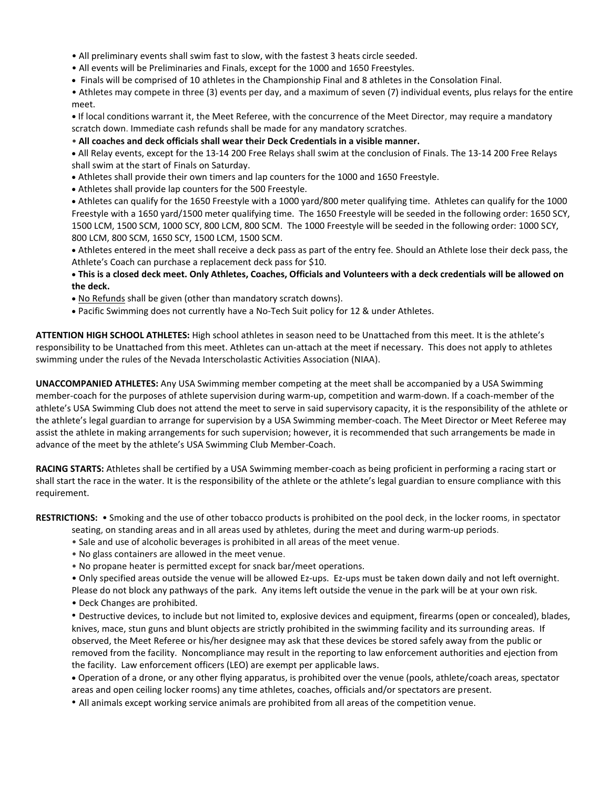- All preliminary events shall swim fast to slow, with the fastest 3 heats circle seeded.
- All events will be Preliminaries and Finals, except for the 1000 and 1650 Freestyles.
- Finals will be comprised of 10 athletes in the Championship Final and 8 athletes in the Consolation Final.

• Athletes may compete in three (3) events per day, and a maximum of seven (7) individual events, plus relays for the entire meet.

**•** If local conditions warrant it, the Meet Referee, with the concurrence of the Meet Director, may require a mandatory scratch down. Immediate cash refunds shall be made for any mandatory scratches.

• **All coaches and deck officials shall wear their Deck Credentials in a visible manner.**

 All Relay events, except for the 13-14 200 Free Relays shall swim at the conclusion of Finals. The 13-14 200 Free Relays shall swim at the start of Finals on Saturday.

- Athletes shall provide their own timers and lap counters for the 1000 and 1650 Freestyle.
- Athletes shall provide lap counters for the 500 Freestyle.

 Athletes can qualify for the 1650 Freestyle with a 1000 yard/800 meter qualifying time. Athletes can qualify for the 1000 Freestyle with a 1650 yard/1500 meter qualifying time. The 1650 Freestyle will be seeded in the following order: 1650 SCY, 1500 LCM, 1500 SCM, 1000 SCY, 800 LCM, 800 SCM. The 1000 Freestyle will be seeded in the following order: 1000 SCY, 800 LCM, 800 SCM, 1650 SCY, 1500 LCM, 1500 SCM.

 Athletes entered in the meet shall receive a deck pass as part of the entry fee. Should an Athlete lose their deck pass, the Athlete's Coach can purchase a replacement deck pass for \$10.

#### **This is a closed deck meet. Only Athletes, Coaches, Officials and Volunteers with a deck credentials will be allowed on the deck.**

- No Refunds shall be given (other than mandatory scratch downs).
- Pacific Swimming does not currently have a No-Tech Suit policy for 12 & under Athletes.

**ATTENTION HIGH SCHOOL ATHLETES:** High school athletes in season need to be Unattached from this meet. It is the athlete's responsibility to be Unattached from this meet. Athletes can un-attach at the meet if necessary. This does not apply to athletes swimming under the rules of the Nevada Interscholastic Activities Association (NIAA).

**UNACCOMPANIED ATHLETES:** Any USA Swimming member competing at the meet shall be accompanied by a USA Swimming member-coach for the purposes of athlete supervision during warm-up, competition and warm-down. If a coach-member of the athlete's USA Swimming Club does not attend the meet to serve in said supervisory capacity, it is the responsibility of the athlete or the athlete's legal guardian to arrange for supervision by a USA Swimming member-coach. The Meet Director or Meet Referee may assist the athlete in making arrangements for such supervision; however, it is recommended that such arrangements be made in advance of the meet by the athlete's USA Swimming Club Member-Coach.

**RACING STARTS:** Athletes shall be certified by a USA Swimming member-coach as being proficient in performing a racing start or shall start the race in the water. It is the responsibility of the athlete or the athlete's legal guardian to ensure compliance with this requirement.

**RESTRICTIONS:** • Smoking and the use of other tobacco products is prohibited on the pool deck, in the locker rooms, in spectator seating, on standing areas and in all areas used by athletes, during the meet and during warm-up periods.

- Sale and use of alcoholic beverages is prohibited in all areas of the meet venue.
- No glass containers are allowed in the meet venue.
- No propane heater is permitted except for snack bar/meet operations.
- Only specified areas outside the venue will be allowed Ez-ups. Ez-ups must be taken down daily and not left overnight.

Please do not block any pathways of the park. Any items left outside the venue in the park will be at your own risk.

• Deck Changes are prohibited.

• Destructive devices, to include but not limited to, explosive devices and equipment, firearms (open or concealed), blades, knives, mace, stun guns and blunt objects are strictly prohibited in the swimming facility and its surrounding areas. If observed, the Meet Referee or his/her designee may ask that these devices be stored safely away from the public or removed from the facility. Noncompliance may result in the reporting to law enforcement authorities and ejection from the facility. Law enforcement officers (LEO) are exempt per applicable laws.

 Operation of a drone, or any other flying apparatus, is prohibited over the venue (pools, athlete/coach areas, spectator areas and open ceiling locker rooms) any time athletes, coaches, officials and/or spectators are present.

• All animals except working service animals are prohibited from all areas of the competition venue.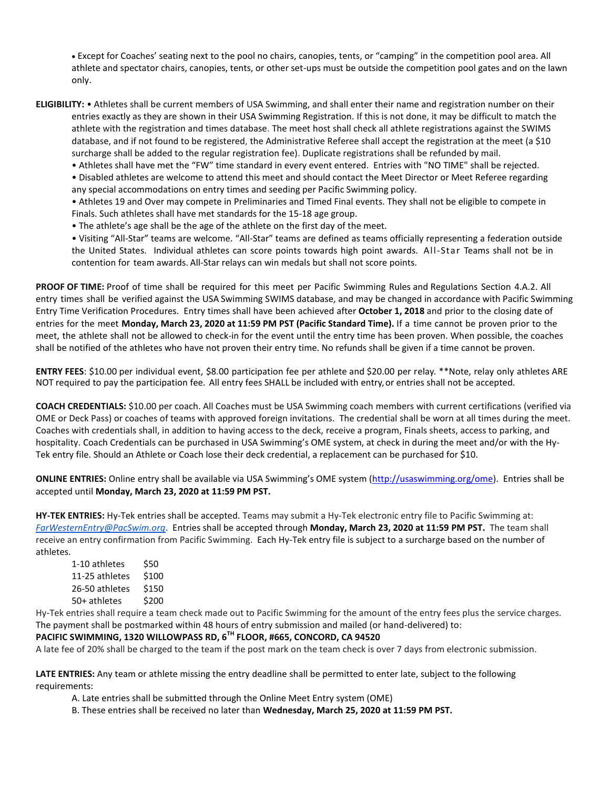Except for Coaches' seating next to the pool no chairs, canopies, tents, or "camping" in the competition pool area. All athlete and spectator chairs, canopies, tents, or other set-ups must be outside the competition pool gates and on the lawn only.

**ELIGIBILITY:** • Athletes shall be current members of USA Swimming, and shall enter their name and registration number on their entries exactly as they are shown in their USA Swimming Registration. If this is not done, it may be difficult to match the athlete with the registration and times database. The meet host shall check all athlete registrations against the SWIMS database, and if not found to be registered, the Administrative Referee shall accept the registration at the meet (a \$10 surcharge shall be added to the regular registration fee). Duplicate registrations shall be refunded by mail.

• Athletes shall have met the "FW" time standard in every event entered. Entries with "NO TIME" shall be rejected.

• Disabled athletes are welcome to attend this meet and should contact the Meet Director or Meet Referee regarding any special accommodations on entry times and seeding per Pacific Swimming policy.

• Athletes 19 and Over may compete in Preliminaries and Timed Final events. They shall not be eligible to compete in Finals. Such athletes shall have met standards for the 15-18 age group.

• The athlete's age shall be the age of the athlete on the first day of the meet.

• Visiting "All-Star" teams are welcome. "All-Star" teams are defined as teams officially representing a federation outside the United States. Individual athletes can score points towards high point awards. All-Star Teams shall not be in contention for team awards. All-Star relays can win medals but shall not score points.

**PROOF OF TIME:** Proof of time shall be required for this meet per Pacific Swimming Rules and Regulations Section 4.A.2. All entry times shall be verified against the USA Swimming SWIMS database, and may be changed in accordance with Pacific Swimming Entry Time Verification Procedures. Entry times shall have been achieved after **October 1, 2018** and prior to the closing date of entries for the meet **Monday, March 23, 2020 at 11:59 PM PST (Pacific Standard Time).** If a time cannot be proven prior to the meet, the athlete shall not be allowed to check-in for the event until the entry time has been proven. When possible, the coaches shall be notified of the athletes who have not proven their entry time. No refunds shall be given if a time cannot be proven.

**ENTRY FEES**: \$10.00 per individual event, \$8.00 participation fee per athlete and \$20.00 per relay. \*\*Note, relay only athletes ARE NOT required to pay the participation fee. All entry fees SHALL be included with entry,or entries shall not be accepted.

**COACH CREDENTIALS:** \$10.00 per coach. All Coaches must be USA Swimming coach members with current certifications (verified via OME or Deck Pass) or coaches of teams with approved foreign invitations. The credential shall be worn at all times during the meet. Coaches with credentials shall, in addition to having access to the deck, receive a program, Finals sheets, access to parking, and hospitality. Coach Credentials can be purchased in USA Swimming's OME system, at check in during the meet and/or with the Hy-Tek entry file. Should an Athlete or Coach lose their deck credential, a replacement can be purchased for \$10.

**ONLINE ENTRIES:** Online entry shall be available via USA Swimming's OME system ([http://usaswimming.org/ome\)](http://usaswimming.org/ome). Entries shall be accepted until **Monday, March 23, 2020 at 11:59 PM PST.**

**HY-TEK ENTRIES:** Hy-Tek entries shall be accepted. Teams may submit a Hy-Tek electronic entry file to Pacific Swimming at: *[FarWesternEntry@PacSwim.org](mailto:FarWesternEntry@PacSwim.org)*. Entries shall be accepted through **Monday, March 23, 2020 at 11:59 PM PST.** The team shall receive an entry confirmation from Pacific Swimming. Each Hy-Tek entry file is subject to a surcharge based on the number of athletes.

| S50   |
|-------|
| \$100 |
| \$150 |
| \$200 |
|       |

Hy-Tek entries shall require a team check made out to Pacific Swimming for the amount of the entry fees plus the service charges. The payment shall be postmarked within 48 hours of entry submission and mailed (or hand-delivered) to:

### **PACIFIC SWIMMING, 1320 WILLOWPASS RD, 6TH FLOOR, #665, CONCORD, CA 94520**

A late fee of 20% shall be charged to the team if the post mark on the team check is over 7 days from electronic submission.

**LATE ENTRIES:** Any team or athlete missing the entry deadline shall be permitted to enter late, subject to the following requirements:

A. Late entries shall be submitted through the Online Meet Entry system (OME)

B. These entries shall be received no later than **Wednesday, March 25, 2020 at 11:59 PM PST.**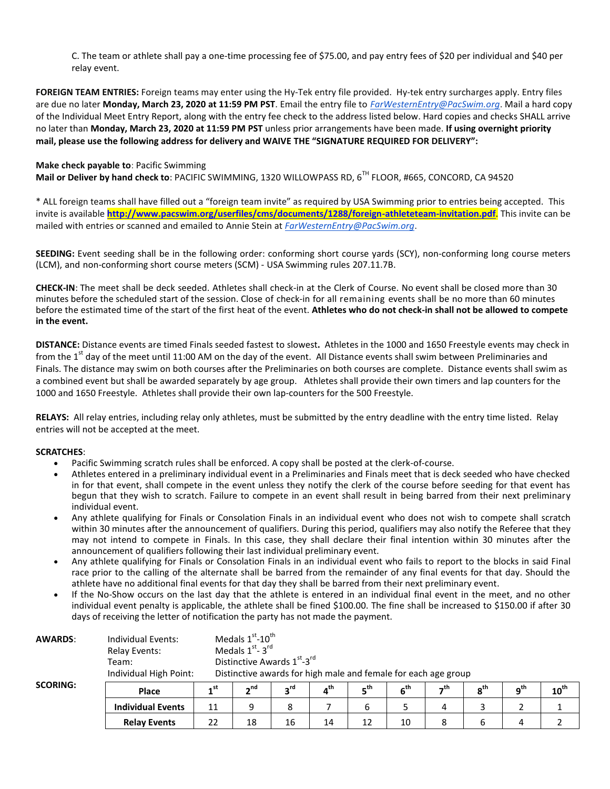C. The team or athlete shall pay a one-time processing fee of \$75.00, and pay entry fees of \$20 per individual and \$40 per relay event.

**FOREIGN TEAM ENTRIES:** Foreign teams may enter using the Hy-Tek entry file provided. Hy-tek entry surcharges apply. Entry files are due no later **Monday, March 23, 2020 at 11:59 PM PST**. Email the entry file to *[FarWesternEntry@PacSwim.org](mailto:FarWesternEntry@PacSwim.org)*. Mail a hard copy of the Individual Meet Entry Report, along with the entry fee check to the address listed below. Hard copies and checks SHALL arrive no later than **Monday, March 23, 2020 at 11:59 PM PST** unless prior arrangements have been made. **If using overnight priority mail, please use the following address for delivery and WAIVE THE "SIGNATURE REQUIRED FOR DELIVERY":**

#### **Make check payable to**: Pacific Swimming

**Mail or Deliver by hand check to**: PACIFIC SWIMMING, 1320 WILLOWPASS RD, 6TH FLOOR, #665, CONCORD, CA 94520

\* ALL foreign teams shall have filled out a "foreign team invite" as required by USA Swimming prior to entries being accepted. This invite is available **<http://www.pacswim.org/userfiles/cms/documents/1288/foreign-athleteteam-invitation.pdf>**. This invite can be mailed with entries or scanned and emailed to Annie Stein at *[FarWesternEntry@PacSwim.org](mailto:FarWesternEntry@PacSwim.org)*.

**SEEDING:** Event seeding shall be in the following order: conforming short course yards (SCY), non-conforming long course meters (LCM), and non-conforming short course meters (SCM) - USA Swimming rules 207.11.7B.

**CHECK-IN**: The meet shall be deck seeded. Athletes shall check-in at the Clerk of Course. No event shall be closed more than 30 minutes before the scheduled start of the session. Close of check-in for all remaining events shall be no more than 60 minutes before the estimated time of the start of the first heat of the event. **Athletes who do not check-in shall not be allowed to compete in the event.**

**DISTANCE:** Distance events are timed Finals seeded fastest to slowest**.** Athletes in the 1000 and 1650 Freestyle events may check in from the 1<sup>st</sup> day of the meet until 11:00 AM on the day of the event. All Distance events shall swim between Preliminaries and Finals. The distance may swim on both courses after the Preliminaries on both courses are complete. Distance events shall swim as a combined event but shall be awarded separately by age group. Athletes shall provide their own timers and lap counters for the 1000 and 1650 Freestyle. Athletes shall provide their own lap-counters for the 500 Freestyle.

**RELAYS:** All relay entries, including relay only athletes, must be submitted by the entry deadline with the entry time listed. Relay entries will not be accepted at the meet.

#### **SCRATCHES**:

- Pacific Swimming scratch rules shall be enforced. A copy shall be posted at the clerk-of-course.
- Athletes entered in a preliminary individual event in a Preliminaries and Finals meet that is deck seeded who have checked in for that event, shall compete in the event unless they notify the clerk of the course before seeding for that event has begun that they wish to scratch. Failure to compete in an event shall result in being barred from their next preliminary individual event.
- Any athlete qualifying for Finals or Consolation Finals in an individual event who does not wish to compete shall scratch within 30 minutes after the announcement of qualifiers. During this period, qualifiers may also notify the Referee that they may not intend to compete in Finals. In this case, they shall declare their final intention within 30 minutes after the announcement of qualifiers following their last individual preliminary event.
- Any athlete qualifying for Finals or Consolation Finals in an individual event who fails to report to the blocks in said Final race prior to the calling of the alternate shall be barred from the remainder of any final events for that day. Should the athlete have no additional final events for that day they shall be barred from their next preliminary event.
- If the No-Show occurs on the last day that the athlete is entered in an individual final event in the meet, and no other individual event penalty is applicable, the athlete shall be fined \$100.00. The fine shall be increased to \$150.00 if after 30 days of receiving the letter of notification the party has not made the payment.

| <b>AWARDS:</b>  | Individual Events:<br><b>Relay Events:</b><br>Team:<br>Individual High Point: | Medals $1st$ -10 <sup>th</sup><br>Medals $1st - 3rd$<br>Distinctive Awards 1st-3rd<br>Distinctive awards for high male and female for each age group |                 |                 |                 |                 |                 |      |                 |                 |                  |
|-----------------|-------------------------------------------------------------------------------|------------------------------------------------------------------------------------------------------------------------------------------------------|-----------------|-----------------|-----------------|-----------------|-----------------|------|-----------------|-----------------|------------------|
| <b>SCORING:</b> | <b>Place</b>                                                                  | 4 st                                                                                                                                                 | 2 <sub>nd</sub> | 3 <sup>rd</sup> | $4^{\text{th}}$ | 5 <sup>th</sup> | 6 <sup>th</sup> | –,th | 8 <sup>th</sup> | 9 <sup>th</sup> | $10^{\text{th}}$ |
|                 | <b>Individual Events</b>                                                      | 11                                                                                                                                                   | 9               | 8               |                 | 6               |                 | 4    |                 |                 |                  |
|                 | <b>Relay Events</b>                                                           | 22                                                                                                                                                   | 18              | 16              | 14              | 12              | 10              |      |                 |                 |                  |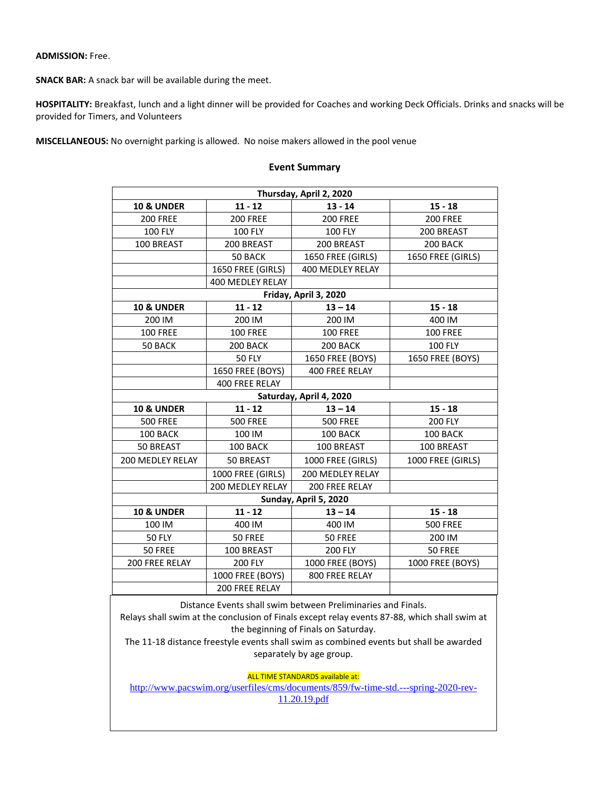#### **ADMISSION:** Free.

**SNACK BAR:** A snack bar will be available during the meet.

Г

**HOSPITALITY:** Breakfast, lunch and a light dinner will be provided for Coaches and working Deck Officials. Drinks and snacks will be provided for Timers, and Volunteers

**MISCELLANEOUS:** No overnight parking is allowed. No noise makers allowed in the pool venue

# **Event Summary Thursday, April 2, 2020**

|                       |                         | Thursuay, April 2, 2020                                      |                   |
|-----------------------|-------------------------|--------------------------------------------------------------|-------------------|
| <b>10 &amp; UNDER</b> | $11 - 12$               | $13 - 14$                                                    | $15 - 18$         |
| <b>200 FREE</b>       | <b>200 FREE</b>         | <b>200 FREE</b>                                              | <b>200 FREE</b>   |
| <b>100 FLY</b>        | <b>100 FLY</b>          | <b>100 FLY</b>                                               | 200 BREAST        |
| 100 BREAST            | 200 BREAST              | 200 BREAST                                                   | 200 BACK          |
|                       | 50 BACK                 | 1650 FREE (GIRLS)                                            | 1650 FREE (GIRLS) |
|                       | 1650 FREE (GIRLS)       | 400 MEDLEY RELAY                                             |                   |
|                       | 400 MEDLEY RELAY        |                                                              |                   |
|                       |                         | Friday, April 3, 2020                                        |                   |
| <b>10 &amp; UNDER</b> | $11 - 12$               | $13 - 14$                                                    | $15 - 18$         |
| 200 IM                | 200 IM                  | 200 IM                                                       | 400 IM            |
| <b>100 FREE</b>       | <b>100 FREE</b>         | <b>100 FREE</b>                                              | <b>100 FREE</b>   |
| 50 BACK               | 200 BACK                | 200 BACK                                                     | <b>100 FLY</b>    |
|                       | <b>50 FLY</b>           | 1650 FREE (BOYS)                                             | 1650 FREE (BOYS)  |
|                       | 1650 FREE (BOYS)        | 400 FREE RELAY                                               |                   |
|                       | 400 FREE RELAY          |                                                              |                   |
|                       |                         | Saturday, April 4, 2020                                      |                   |
| <b>10 &amp; UNDER</b> | $11 - 12$               | $13 - 14$                                                    | $15 - 18$         |
| <b>500 FREE</b>       | <b>500 FREE</b>         | <b>500 FREE</b>                                              | 200 FLY           |
| 100 BACK              | 100 IM                  | 100 BACK                                                     | 100 BACK          |
| 50 BREAST             | 100 BACK                | 100 BREAST                                                   | 100 BREAST        |
| 200 MEDLEY RELAY      | 50 BREAST               | 1000 FREE (GIRLS)                                            | 1000 FREE (GIRLS) |
|                       | 1000 FREE (GIRLS)       | 200 MEDLEY RELAY                                             |                   |
|                       | <b>200 MEDLEY RELAY</b> | 200 FREE RELAY                                               |                   |
|                       |                         | Sunday, April 5, 2020                                        |                   |
| <b>10 &amp; UNDER</b> | $11 - 12$               | $13 - 14$                                                    | $15 - 18$         |
| 100 IM                | 400 IM                  | 400 IM                                                       | <b>500 FREE</b>   |
| <b>50 FLY</b>         | 50 FREE                 | 50 FREE                                                      | 200 IM            |
| 50 FREE               | 100 BREAST              | <b>200 FLY</b>                                               | 50 FREE           |
| 200 FREE RELAY        | <b>200 FLY</b>          | 1000 FREE (BOYS)                                             | 1000 FREE (BOYS)  |
|                       | 1000 FREE (BOYS)        | 800 FREE RELAY                                               |                   |
|                       | 200 FREE RELAY          |                                                              |                   |
|                       |                         | Distance Events shall swim between Preliminaries and Finals. |                   |

Relays shall swim at the conclusion of Finals except relay events 87-88, which shall swim at the beginning of Finals on Saturday.

The 11-18 distance freestyle events shall swim as combined events but shall be awarded separately by age group.

ALL TIME STANDARDS available at:

[http://www.pacswim.org/userfiles/cms/documents/859/fw-time-std.---spring-2020-rev-](http://www.pacswim.org/userfiles/cms/documents/859/fw-time-std.---spring-2020-rev-11.20.19.pdf)[11.20.19.pdf](http://www.pacswim.org/userfiles/cms/documents/859/fw-time-std.---spring-2020-rev-11.20.19.pdf)